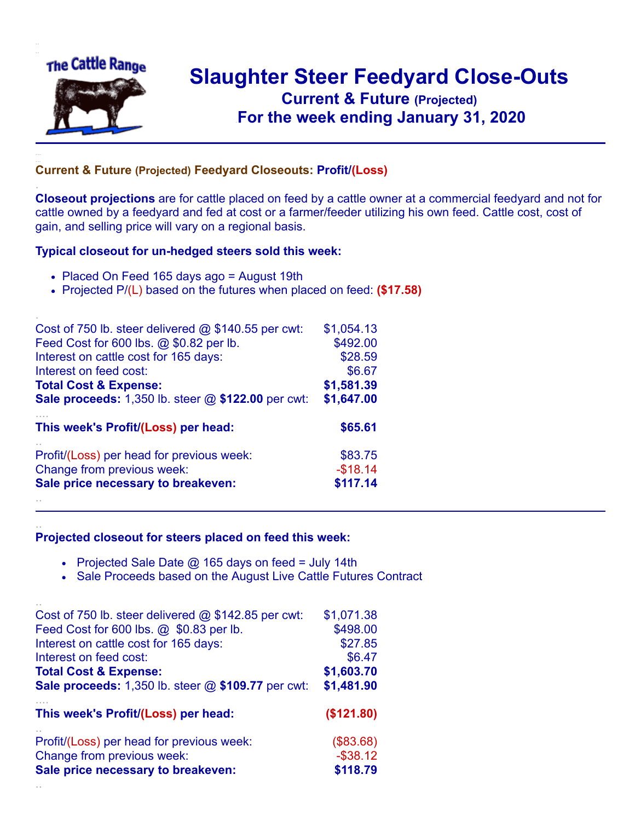

.

..

..

## **Slaughter Steer Feedyard Close-Outs Current & Future (Projected)** .**For the week ending January 31, 2020**

## **Current & Future (Projected) Feedyard Closeouts: Profit/(Loss)**

**Closeout projections** are for cattle placed on feed by a cattle owner at a commercial feedyard and not for cattle owned by a feedyard and fed at cost or a farmer/feeder utilizing his own feed. Cattle cost, cost of gain, and selling price will vary on a regional basis.

## **Typical closeout for un-hedged steers sold this week:**

- Placed On Feed 165 days ago = August 19th
- Projected P/(L) based on the futures when placed on feed: **(\$17.58)**

| Cost of 750 lb. steer delivered $@$ \$140.55 per cwt:       | \$1,054.13 |
|-------------------------------------------------------------|------------|
| Feed Cost for 600 lbs. @ \$0.82 per lb.                     | \$492.00   |
| Interest on cattle cost for 165 days:                       | \$28.59    |
| Interest on feed cost:                                      | \$6.67     |
| <b>Total Cost &amp; Expense:</b>                            | \$1,581.39 |
| <b>Sale proceeds:</b> 1,350 lb. steer $@$ \$122.00 per cwt: | \$1,647.00 |
| This week's Profit/(Loss) per head:                         | \$65.61    |
| Profit/(Loss) per head for previous week:                   | \$83.75    |
| Change from previous week:                                  | $-$18.14$  |
| Sale price necessary to breakeven:                          | \$117.14   |
|                                                             |            |

## **Projected closeout for steers placed on feed this week:**

- Projected Sale Date  $@$  165 days on feed = July 14th
- Sale Proceeds based on the August Live Cattle Futures Contract

| Cost of 750 lb. steer delivered $@$ \$142.85 per cwt: | \$1,071.38  |
|-------------------------------------------------------|-------------|
| Feed Cost for 600 lbs. @ \$0.83 per lb.               | \$498.00    |
| Interest on cattle cost for 165 days:                 | \$27.85     |
| Interest on feed cost:                                | \$6.47      |
| <b>Total Cost &amp; Expense:</b>                      | \$1,603.70  |
| Sale proceeds: 1,350 lb. steer @ \$109.77 per cwt:    | \$1,481.90  |
|                                                       |             |
| This week's Profit/(Loss) per head:                   | (\$121.80)  |
| Profit/(Loss) per head for previous week:             | (\$83.68)   |
| Change from previous week:                            | $-$ \$38.12 |
| Sale price necessary to breakeven:                    | \$118.79    |